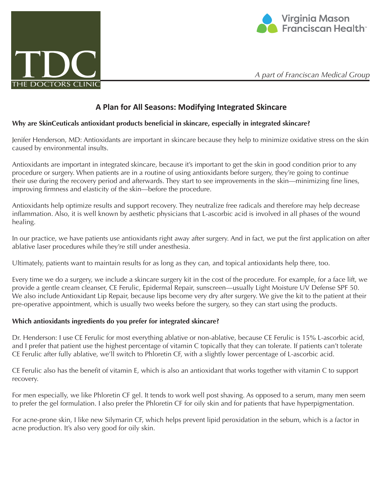



*A part of Franciscan Medical Group*

# **A Plan for All Seasons: Modifying Integrated Skincare**

## **Why are SkinCeuticals antioxidant products beneficial in skincare, especially in integrated skincare?**

Jenifer Henderson, MD: Antioxidants are important in skincare because they help to minimize oxidative stress on the skin caused by environmental insults.

Antioxidants are important in integrated skincare, because it's important to get the skin in good condition prior to any procedure or surgery. When patients are in a routine of using antioxidants before surgery, they're going to continue their use during the recovery period and afterwards. They start to see improvements in the skin—minimizing fine lines, improving firmness and elasticity of the skin—before the procedure.

Antioxidants help optimize results and support recovery. They neutralize free radicals and therefore may help decrease inflammation. Also, it is well known by aesthetic physicians that L-ascorbic acid is involved in all phases of the wound healing.

In our practice, we have patients use antioxidants right away after surgery. And in fact, we put the first application on after ablative laser procedures while they're still under anesthesia.

Ultimately, patients want to maintain results for as long as they can, and topical antioxidants help there, too.

Every time we do a surgery, we include a skincare surgery kit in the cost of the procedure. For example, for a face lift, we provide a gentle cream cleanser, CE Ferulic, Epidermal Repair, sunscreen—usually Light Moisture UV Defense SPF 50. We also include Antioxidant Lip Repair, because lips become very dry after surgery. We give the kit to the patient at their pre-operative appointment, which is usually two weeks before the surgery, so they can start using the products.

#### **Which antioxidants ingredients do you prefer for integrated skincare?**

Dr. Henderson: I use CE Ferulic for most everything ablative or non-ablative, because CE Ferulic is 15% L-ascorbic acid, and I prefer that patient use the highest percentage of vitamin C topically that they can tolerate. If patients can't tolerate CE Ferulic after fully ablative, we'll switch to Phloretin CF, with a slightly lower percentage of L-ascorbic acid.

CE Ferulic also has the benefit of vitamin E, which is also an antioxidant that works together with vitamin C to support recovery.

For men especially, we like Phloretin CF gel. It tends to work well post shaving. As opposed to a serum, many men seem to prefer the gel formulation. I also prefer the Phloretin CF for oily skin and for patients that have hyperpigmentation.

For acne-prone skin, I like new Silymarin CF, which helps prevent lipid peroxidation in the sebum, which is a factor in acne production. It's also very good for oily skin.